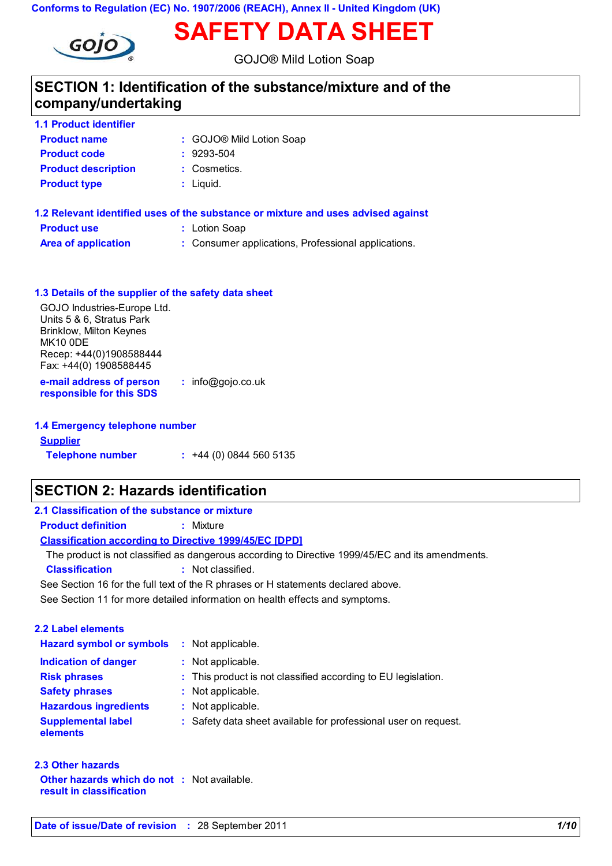**Conforms to Regulation (EC) No. 1907/2006 (REACH), Annex II - United Kingdom (UK)**



### GOJO® Mild Lotion Soap

**SAFETY DATA SHEET**

## **SECTION 1: Identification of the substance/mixture and of the company/undertaking**

| <b>1.1 Product identifier</b> |                          |
|-------------------------------|--------------------------|
| <b>Product name</b>           | : GOJO® Mild Lotion Soap |
| <b>Product code</b>           | $: 9293 - 504$           |
| <b>Product description</b>    | : Cosmetics.             |
| <b>Product type</b>           | $:$ Liquid.              |
|                               |                          |

| 1.2 Relevant identified uses of the substance or mixture and uses advised against |                                                     |  |  |  |
|-----------------------------------------------------------------------------------|-----------------------------------------------------|--|--|--|
| <b>Product use</b>                                                                | : Lotion Soap                                       |  |  |  |
| <b>Area of application</b>                                                        | : Consumer applications, Professional applications. |  |  |  |

| 1.3 Details of the supplier of the safety data sheet                                                                                                                    |                     |
|-------------------------------------------------------------------------------------------------------------------------------------------------------------------------|---------------------|
| GOJO Industries-Europe Ltd.<br>Units 5 & 6, Stratus Park<br><b>Brinklow, Milton Keynes</b><br>MK <sub>10</sub> ODE<br>Recep: +44(0)1908588444<br>Fax: +44(0) 1908588445 |                     |
| e-mail address of person<br>responsible for this SDS                                                                                                                    | $:$ info@gojo.co.uk |

| 1.4 Emergency telephone number |                              |  |  |  |
|--------------------------------|------------------------------|--|--|--|
| <b>Supplier</b>                |                              |  |  |  |
| <b>Telephone number</b>        | $\div$ +44 (0) 0844 560 5135 |  |  |  |

## **SECTION 2: Hazards identification**

| 2.1 Classification of the substance or mixture                |                                                                                                  |  |  |
|---------------------------------------------------------------|--------------------------------------------------------------------------------------------------|--|--|
| <b>Product definition</b>                                     | : Mixture                                                                                        |  |  |
| <b>Classification according to Directive 1999/45/EC [DPD]</b> |                                                                                                  |  |  |
|                                                               | The product is not classified as dangerous according to Directive 1999/45/EC and its amendments. |  |  |
| <b>Classification</b>                                         | : Not classified.                                                                                |  |  |
|                                                               | See Section 16 for the full text of the R phrases or H statements declared above.                |  |  |
|                                                               | See Section 11 for more detailed information on health effects and symptoms.                     |  |  |
| 2.2 Label elements                                            |                                                                                                  |  |  |
| <b>Hazard symbol or symbols</b>                               | : Not applicable.                                                                                |  |  |
| Indication of danger                                          | : Not applicable.                                                                                |  |  |
| <b>Risk phrases</b>                                           | : This product is not classified according to EU legislation.                                    |  |  |
| <b>Safety phrases</b>                                         | : Not applicable.                                                                                |  |  |
| <b>Hazardous ingredients</b>                                  | : Not applicable.                                                                                |  |  |
| <b>Supplemental label</b><br>elements                         | : Safety data sheet available for professional user on request.                                  |  |  |

| 2.3 Other hazards              |  |
|--------------------------------|--|
| Other hazards which do not ∶ ↑ |  |

**result in classification**

Not available.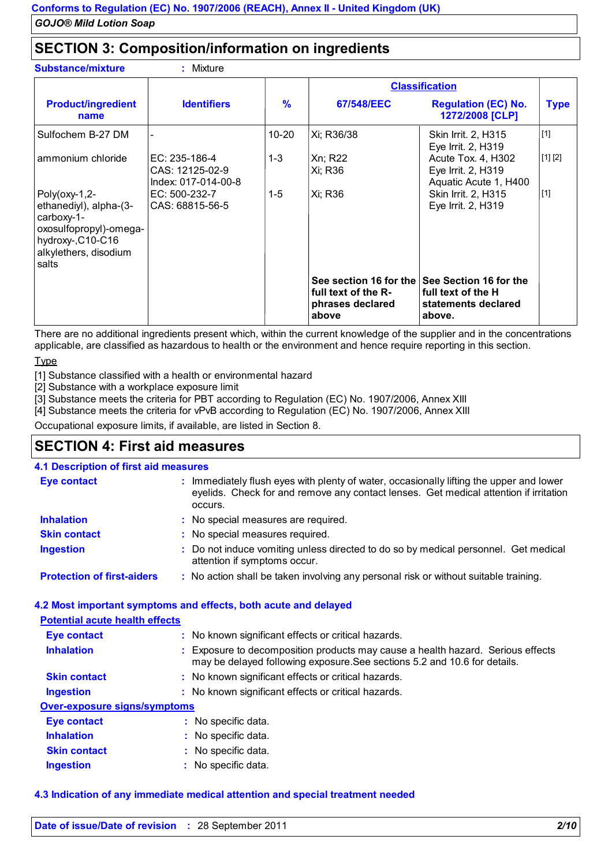### **SECTION 3: Composition/information on ingredients**

**:** Mivture

|                                                                                                                                          |                                                           |               |                                                                            | <b>Classification</b>                                                         |             |
|------------------------------------------------------------------------------------------------------------------------------------------|-----------------------------------------------------------|---------------|----------------------------------------------------------------------------|-------------------------------------------------------------------------------|-------------|
| <b>Product/ingredient</b><br>name                                                                                                        | <b>Identifiers</b>                                        | $\frac{9}{6}$ | 67/548/EEC                                                                 | <b>Regulation (EC) No.</b><br>1272/2008 [CLP]                                 | <b>Type</b> |
| Sulfochem B-27 DM                                                                                                                        |                                                           | $10 - 20$     | Xi; R36/38                                                                 | Skin Irrit. 2, H315<br>Eye Irrit. 2, H319                                     | $[1]$       |
| ammonium chloride                                                                                                                        | EC: $235-186-4$<br>CAS: 12125-02-9<br>Index: 017-014-00-8 | $1 - 3$       | Xn; R22<br>Xi; R36                                                         | Acute Tox. 4, H302<br>Eye Irrit. 2, H319<br>Aquatic Acute 1, H400             | [1] [2]     |
| $Poly($ oxy-1,2-<br>ethanediyl), alpha-(3-<br>carboxy-1-<br>oxosulfopropyl)-omega-<br>hydroxy-,C10-C16<br>alkylethers, disodium<br>salts | EC: 500-232-7<br>CAS: 68815-56-5                          | 1-5           | Xi; R36                                                                    | Skin Irrit. 2, H315<br>Eye Irrit. 2, H319                                     | $[1]$       |
|                                                                                                                                          |                                                           |               | See section 16 for the<br>full text of the R-<br>phrases declared<br>above | See Section 16 for the<br>full text of the H<br>statements declared<br>above. |             |

There are no additional ingredients present which, within the current knowledge of the supplier and in the concentrations applicable, are classified as hazardous to health or the environment and hence require reporting in this section.

**Type** 

**Substance/mixture** 

[1] Substance classified with a health or environmental hazard

[2] Substance with a workplace exposure limit

[3] Substance meets the criteria for PBT according to Regulation (EC) No. 1907/2006, Annex XIII

[4] Substance meets the criteria for vPvB according to Regulation (EC) No. 1907/2006, Annex XIII

Occupational exposure limits, if available, are listed in Section 8.

### **SECTION 4: First aid measures**

#### **4.1 Description of first aid measures**

| <b>Eye contact</b>                | : Immediately flush eyes with plenty of water, occasionally lifting the upper and lower<br>eyelids. Check for and remove any contact lenses. Get medical attention if irritation<br>occurs. |
|-----------------------------------|---------------------------------------------------------------------------------------------------------------------------------------------------------------------------------------------|
| <b>Inhalation</b>                 | : No special measures are required.                                                                                                                                                         |
| <b>Skin contact</b>               | : No special measures required.                                                                                                                                                             |
| <b>Ingestion</b>                  | : Do not induce vomiting unless directed to do so by medical personnel. Get medical<br>attention if symptoms occur.                                                                         |
| <b>Protection of first-aiders</b> | : No action shall be taken involving any personal risk or without suitable training.                                                                                                        |

#### **4.2 Most important symptoms and effects, both acute and delayed**

#### **Potential acute health effects**

| <b>Eye contact</b>                  | : No known significant effects or critical hazards.                                                                                                          |
|-------------------------------------|--------------------------------------------------------------------------------------------------------------------------------------------------------------|
| <b>Inhalation</b>                   | : Exposure to decomposition products may cause a health hazard. Serious effects<br>may be delayed following exposure. See sections 5.2 and 10.6 for details. |
| <b>Skin contact</b>                 | : No known significant effects or critical hazards.                                                                                                          |
| <b>Ingestion</b>                    | : No known significant effects or critical hazards.                                                                                                          |
| <b>Over-exposure signs/symptoms</b> |                                                                                                                                                              |
| <b>Eye contact</b>                  | : No specific data.                                                                                                                                          |
| <b>Inhalation</b>                   | : No specific data.                                                                                                                                          |
| <b>Skin contact</b>                 | No specific data.                                                                                                                                            |

**Ingestion** No specific data. **:**

#### **4.3 Indication of any immediate medical attention and special treatment needed**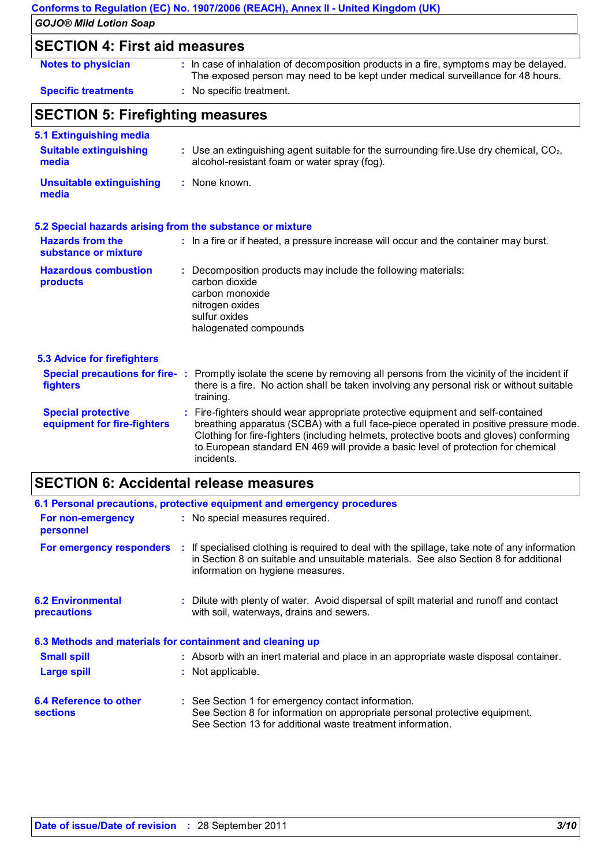|                                                          | Conforms to Regulation (EC) No. 1907/2006 (REACH), Annex II - United Kingdom (UK)                                                                                                                                                                                                                                                                     |
|----------------------------------------------------------|-------------------------------------------------------------------------------------------------------------------------------------------------------------------------------------------------------------------------------------------------------------------------------------------------------------------------------------------------------|
| <b>GOJO® Mild Lotion Soap</b>                            |                                                                                                                                                                                                                                                                                                                                                       |
| <b>SECTION 4: First aid measures</b>                     |                                                                                                                                                                                                                                                                                                                                                       |
| <b>Notes to physician</b>                                | : In case of inhalation of decomposition products in a fire, symptoms may be delayed.<br>The exposed person may need to be kept under medical surveillance for 48 hours.                                                                                                                                                                              |
| <b>Specific treatments</b>                               | : No specific treatment.                                                                                                                                                                                                                                                                                                                              |
| <b>SECTION 5: Firefighting measures</b>                  |                                                                                                                                                                                                                                                                                                                                                       |
| 5.1 Extinguishing media                                  |                                                                                                                                                                                                                                                                                                                                                       |
| <b>Suitable extinguishing</b><br>media                   | $:$ Use an extinguishing agent suitable for the surrounding fire. Use dry chemical, $CO2$ ,<br>alcohol-resistant foam or water spray (fog).                                                                                                                                                                                                           |
| <b>Unsuitable extinguishing</b><br>media                 | : None known.                                                                                                                                                                                                                                                                                                                                         |
|                                                          | 5.2 Special hazards arising from the substance or mixture                                                                                                                                                                                                                                                                                             |
| <b>Hazards from the</b><br>substance or mixture          | : In a fire or if heated, a pressure increase will occur and the container may burst.                                                                                                                                                                                                                                                                 |
| <b>Hazardous combustion</b><br>products                  | Decomposition products may include the following materials:<br>carbon dioxide<br>carbon monoxide<br>nitrogen oxides<br>sulfur oxides<br>halogenated compounds                                                                                                                                                                                         |
| <b>5.3 Advice for firefighters</b>                       |                                                                                                                                                                                                                                                                                                                                                       |
| fighters                                                 | Special precautions for fire-: Promptly isolate the scene by removing all persons from the vicinity of the incident if<br>there is a fire. No action shall be taken involving any personal risk or without suitable<br>training.                                                                                                                      |
| <b>Special protective</b><br>equipment for fire-fighters | Fire-fighters should wear appropriate protective equipment and self-contained<br>breathing apparatus (SCBA) with a full face-piece operated in positive pressure mode.<br>Clothing for fire-fighters (including helmets, protective boots and gloves) conforming<br>to European standard EN 469 will provide a basic level of protection for chemical |

# **SECTION 6: Accidental release measures**

incidents.

| 6.1 Personal precautions, protective equipment and emergency procedures |  |                                                                                                                                                                                                                           |  |  |
|-------------------------------------------------------------------------|--|---------------------------------------------------------------------------------------------------------------------------------------------------------------------------------------------------------------------------|--|--|
| <b>For non-emergency</b><br>personnel                                   |  | : No special measures required.                                                                                                                                                                                           |  |  |
| For emergency responders                                                |  | : If specialised clothing is required to deal with the spillage, take note of any information<br>in Section 8 on suitable and unsuitable materials. See also Section 8 for additional<br>information on hygiene measures. |  |  |
| <b>6.2 Environmental</b><br><b>precautions</b>                          |  | : Dilute with plenty of water. Avoid dispersal of spilt material and runoff and contact<br>with soil, waterways, drains and sewers.                                                                                       |  |  |
| 6.3 Methods and materials for containment and cleaning up               |  |                                                                                                                                                                                                                           |  |  |
| <b>Small spill</b>                                                      |  | : Absorb with an inert material and place in an appropriate waste disposal container.                                                                                                                                     |  |  |
| <b>Large spill</b>                                                      |  | : Not applicable.                                                                                                                                                                                                         |  |  |
| 6.4 Reference to other<br><b>sections</b>                               |  | : See Section 1 for emergency contact information.<br>See Section 8 for information on appropriate personal protective equipment.<br>See Section 13 for additional waste treatment information.                           |  |  |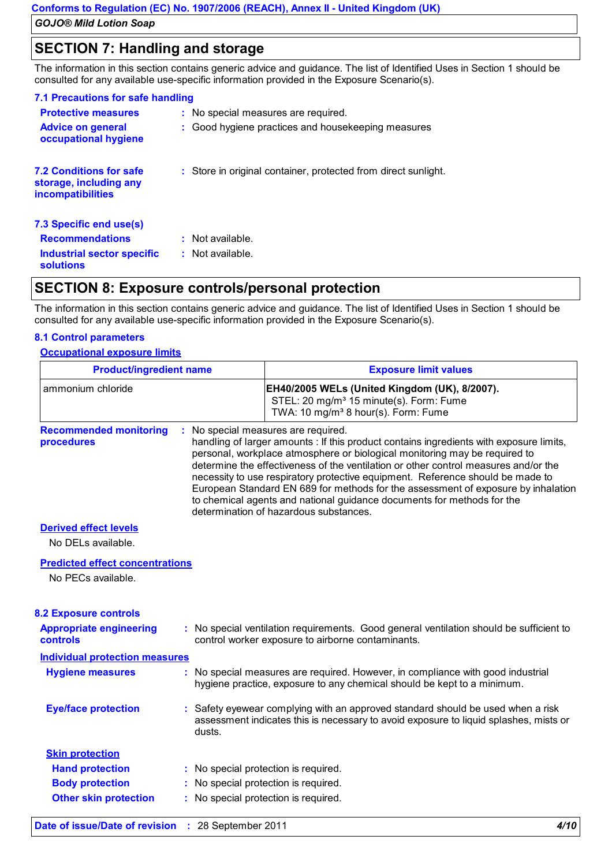## **SECTION 7: Handling and storage**

The information in this section contains generic advice and guidance. The list of Identified Uses in Section 1 should be consulted for any available use-specific information provided in the Exposure Scenario(s).

| 7.1 Precautions for safe handling                                                    |                                                                |
|--------------------------------------------------------------------------------------|----------------------------------------------------------------|
| <b>Protective measures</b>                                                           | : No special measures are required.                            |
| <b>Advice on general</b><br>occupational hygiene                                     | : Good hygiene practices and housekeeping measures             |
| <b>7.2 Conditions for safe</b><br>storage, including any<br><i>incompatibilities</i> | : Store in original container, protected from direct sunlight. |
| 7.3 Specific end use(s)                                                              |                                                                |
| <b>Recommendations</b>                                                               | $:$ Not available.                                             |
| Industrial sector specific<br><b>solutions</b>                                       | $:$ Not available.                                             |

## **SECTION 8: Exposure controls/personal protection**

The information in this section contains generic advice and guidance. The list of Identified Uses in Section 1 should be consulted for any available use-specific information provided in the Exposure Scenario(s).

### **8.1 Control parameters**

### **Occupational exposure limits**

| <b>Product/ingredient name</b>                               |                                                                                                                                                                                                                                                                                                                                                                                                                                                                                                                                                                                                | <b>Exposure limit values</b>                                                                                                                             |  |
|--------------------------------------------------------------|------------------------------------------------------------------------------------------------------------------------------------------------------------------------------------------------------------------------------------------------------------------------------------------------------------------------------------------------------------------------------------------------------------------------------------------------------------------------------------------------------------------------------------------------------------------------------------------------|----------------------------------------------------------------------------------------------------------------------------------------------------------|--|
| ammonium chloride                                            |                                                                                                                                                                                                                                                                                                                                                                                                                                                                                                                                                                                                | EH40/2005 WELs (United Kingdom (UK), 8/2007).<br>STEL: 20 mg/m <sup>3</sup> 15 minute(s). Form: Fume<br>TWA: 10 mg/m <sup>3</sup> 8 hour(s). Form: Fume  |  |
| <b>Recommended monitoring</b><br>procedures                  | : No special measures are required.<br>handling of larger amounts : If this product contains ingredients with exposure limits,<br>personal, workplace atmosphere or biological monitoring may be required to<br>determine the effectiveness of the ventilation or other control measures and/or the<br>necessity to use respiratory protective equipment. Reference should be made to<br>European Standard EN 689 for methods for the assessment of exposure by inhalation<br>to chemical agents and national guidance documents for methods for the<br>determination of hazardous substances. |                                                                                                                                                          |  |
| <b>Derived effect levels</b><br>No DELs available.           |                                                                                                                                                                                                                                                                                                                                                                                                                                                                                                                                                                                                |                                                                                                                                                          |  |
| <b>Predicted effect concentrations</b><br>No PECs available. |                                                                                                                                                                                                                                                                                                                                                                                                                                                                                                                                                                                                |                                                                                                                                                          |  |
| <b>8.2 Exposure controls</b>                                 |                                                                                                                                                                                                                                                                                                                                                                                                                                                                                                                                                                                                |                                                                                                                                                          |  |
| <b>Appropriate engineering</b><br><b>controls</b>            |                                                                                                                                                                                                                                                                                                                                                                                                                                                                                                                                                                                                | : No special ventilation requirements. Good general ventilation should be sufficient to<br>control worker exposure to airborne contaminants.             |  |
| <b>Individual protection measures</b>                        |                                                                                                                                                                                                                                                                                                                                                                                                                                                                                                                                                                                                |                                                                                                                                                          |  |
| <b>Hygiene measures</b>                                      |                                                                                                                                                                                                                                                                                                                                                                                                                                                                                                                                                                                                | No special measures are required. However, in compliance with good industrial<br>hygiene practice, exposure to any chemical should be kept to a minimum. |  |
| <b>Eye/face protection</b>                                   |                                                                                                                                                                                                                                                                                                                                                                                                                                                                                                                                                                                                | : Safety eyewear complying with an approved standard should be used when a risk                                                                          |  |
|                                                              | dusts.                                                                                                                                                                                                                                                                                                                                                                                                                                                                                                                                                                                         | assessment indicates this is necessary to avoid exposure to liquid splashes, mists or                                                                    |  |
| <b>Skin protection</b>                                       |                                                                                                                                                                                                                                                                                                                                                                                                                                                                                                                                                                                                |                                                                                                                                                          |  |
| <b>Hand protection</b>                                       |                                                                                                                                                                                                                                                                                                                                                                                                                                                                                                                                                                                                | : No special protection is required.                                                                                                                     |  |
| <b>Body protection</b>                                       |                                                                                                                                                                                                                                                                                                                                                                                                                                                                                                                                                                                                | : No special protection is required.                                                                                                                     |  |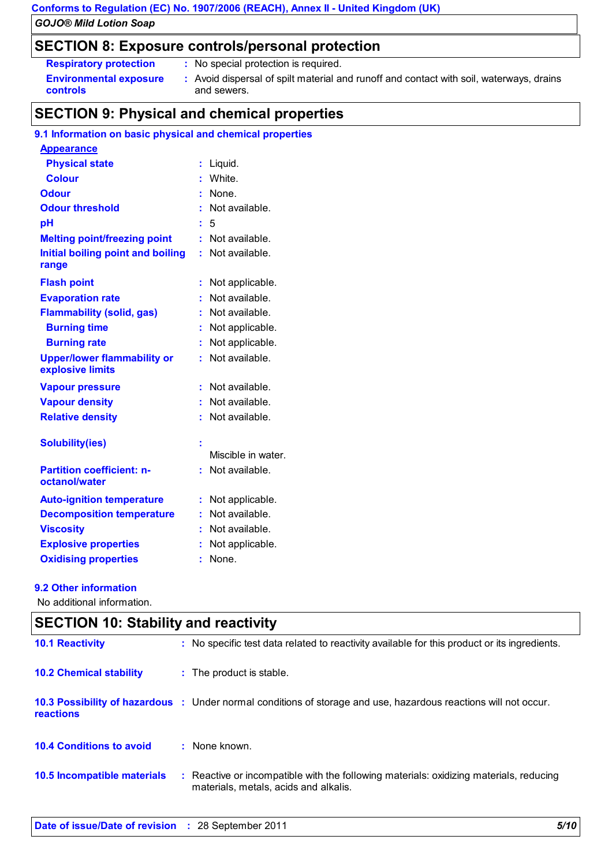# **Conforms to Regulation (EC) No. 1907/2006 (REACH), Annex II - United Kingdom (UK)**

*GOJO® Mild Lotion Soap*

### **SECTION 8: Exposure controls/personal protection**

| <b>Respiratory protection</b>             | : No special protection is required.                                                                   |
|-------------------------------------------|--------------------------------------------------------------------------------------------------------|
| <b>Environmental exposure</b><br>controls | : Avoid dispersal of spilt material and runoff and contact with soil, waterways, drains<br>and sewers. |

## **SECTION 9: Physical and chemical properties**

#### **9.1 Information on basic physical and chemical properties**

| <b>Appearance</b>                                      |    |                    |
|--------------------------------------------------------|----|--------------------|
| <b>Physical state</b>                                  | ÷. | Liquid.            |
| <b>Colour</b>                                          | t. | White.             |
| <b>Odour</b>                                           | t  | None.              |
| <b>Odour threshold</b>                                 | t  | Not available.     |
| рH                                                     | t  | 5                  |
| <b>Melting point/freezing point</b>                    | t. | Not available.     |
| Initial boiling point and boiling<br>range             | t  | Not available.     |
| <b>Flash point</b>                                     | t  | Not applicable.    |
| <b>Evaporation rate</b>                                | ř. | Not available.     |
| <b>Flammability (solid, gas)</b>                       | ř. | Not available.     |
| <b>Burning time</b>                                    |    | Not applicable.    |
| <b>Burning rate</b>                                    | ř, | Not applicable.    |
| <b>Upper/lower flammability or</b><br>explosive limits |    | Not available.     |
| <b>Vapour pressure</b>                                 | t. | Not available.     |
| <b>Vapour density</b>                                  |    | Not available.     |
| <b>Relative density</b>                                | ř. | Not available.     |
| <b>Solubility(ies)</b>                                 | t  |                    |
|                                                        |    | Miscible in water. |
| <b>Partition coefficient: n-</b><br>octanol/water      |    | Not available.     |
| <b>Auto-ignition temperature</b>                       | t  | Not applicable.    |
| <b>Decomposition temperature</b>                       | ř. | Not available.     |
| <b>Viscosity</b>                                       |    | Not available.     |
| <b>Explosive properties</b>                            | t  | Not applicable.    |
| <b>Oxidising properties</b>                            | t  | None.              |

### **9.2 Other information**

No additional information.

| <b>SECTION 10: Stability and reactivity</b> |  |                                                                                                                                 |  |
|---------------------------------------------|--|---------------------------------------------------------------------------------------------------------------------------------|--|
| <b>10.1 Reactivity</b>                      |  | : No specific test data related to reactivity available for this product or its ingredients.                                    |  |
| <b>10.2 Chemical stability</b>              |  | : The product is stable.                                                                                                        |  |
| reactions                                   |  | 10.3 Possibility of hazardous: Under normal conditions of storage and use, hazardous reactions will not occur.                  |  |
| <b>10.4 Conditions to avoid</b>             |  | : None known.                                                                                                                   |  |
| 10.5 Incompatible materials                 |  | : Reactive or incompatible with the following materials: oxidizing materials, reducing<br>materials, metals, acids and alkalis. |  |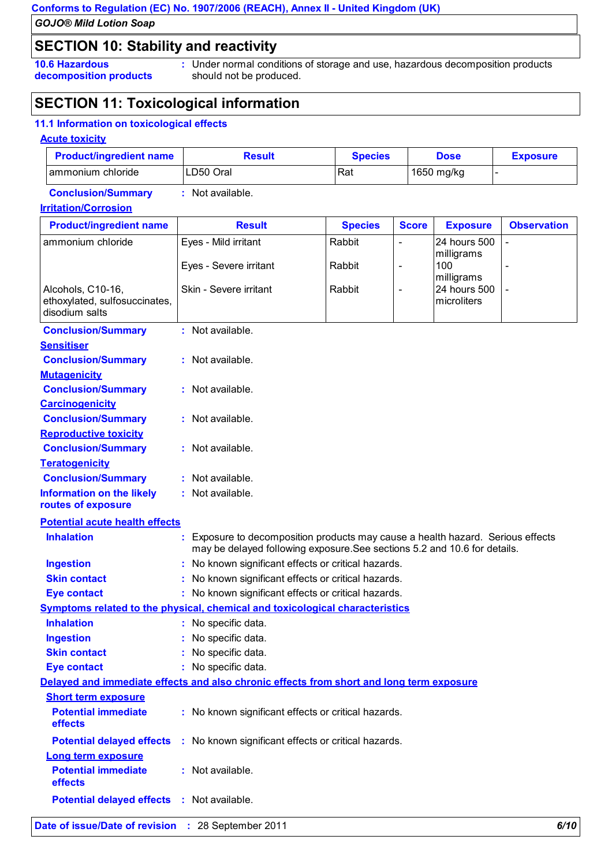### **SECTION 10: Stability and reactivity**

**10.6 Hazardous decomposition products** Under normal conditions of storage and use, hazardous decomposition products **:** should not be produced.

### **SECTION 11: Toxicological information**

#### **11.1 Information on toxicological effects**

#### **Acute toxicity**

| <b>Product/ingredient name</b> | Result    | <b>Species</b> | <b>Dose</b> | <b>Exposure</b> |
|--------------------------------|-----------|----------------|-------------|-----------------|
| Tammonium chloride             | LD50 Oral | Rat            | 1650 mg/kg  |                 |

**Conclusion/Summary :** Not available.

#### **Irritation/Corrosion**

| <b>Product/ingredient name</b>                         | <b>Result</b>                                                                            | <b>Species</b>                                                                              | <b>Score</b>             | <b>Exposure</b> | <b>Observation</b> |  |  |
|--------------------------------------------------------|------------------------------------------------------------------------------------------|---------------------------------------------------------------------------------------------|--------------------------|-----------------|--------------------|--|--|
| ammonium chloride                                      | Eyes - Mild irritant                                                                     | Rabbit                                                                                      | $\overline{a}$           | 24 hours 500    |                    |  |  |
|                                                        |                                                                                          |                                                                                             |                          | milligrams      |                    |  |  |
|                                                        | Eyes - Severe irritant                                                                   | Rabbit                                                                                      | $\overline{\phantom{a}}$ | 100             | $\blacksquare$     |  |  |
| Alcohols, C10-16,                                      |                                                                                          |                                                                                             |                          | milligrams      |                    |  |  |
| ethoxylated, sulfosuccinates,                          |                                                                                          | 24 hours 500<br>Skin - Severe irritant<br>Rabbit<br>$\overline{\phantom{a}}$<br>microliters |                          |                 |                    |  |  |
| disodium salts                                         |                                                                                          |                                                                                             |                          |                 |                    |  |  |
| <b>Conclusion/Summary</b>                              | : Not available.                                                                         |                                                                                             |                          |                 |                    |  |  |
| <b>Sensitiser</b>                                      |                                                                                          |                                                                                             |                          |                 |                    |  |  |
| <b>Conclusion/Summary</b>                              | : Not available.                                                                         |                                                                                             |                          |                 |                    |  |  |
| <b>Mutagenicity</b>                                    |                                                                                          |                                                                                             |                          |                 |                    |  |  |
| <b>Conclusion/Summary</b>                              | : Not available.                                                                         |                                                                                             |                          |                 |                    |  |  |
| <b>Carcinogenicity</b>                                 |                                                                                          |                                                                                             |                          |                 |                    |  |  |
| <b>Conclusion/Summary</b>                              | : Not available.                                                                         |                                                                                             |                          |                 |                    |  |  |
| <b>Reproductive toxicity</b>                           |                                                                                          |                                                                                             |                          |                 |                    |  |  |
| <b>Conclusion/Summary</b>                              | : Not available.                                                                         |                                                                                             |                          |                 |                    |  |  |
| <b>Teratogenicity</b>                                  |                                                                                          |                                                                                             |                          |                 |                    |  |  |
| <b>Conclusion/Summary</b>                              |                                                                                          |                                                                                             |                          |                 |                    |  |  |
|                                                        |                                                                                          | : Not available.                                                                            |                          |                 |                    |  |  |
| <b>Information on the likely</b><br>routes of exposure | : Not available.                                                                         |                                                                                             |                          |                 |                    |  |  |
| <b>Potential acute health effects</b>                  |                                                                                          |                                                                                             |                          |                 |                    |  |  |
| <b>Inhalation</b>                                      | Exposure to decomposition products may cause a health hazard. Serious effects            |                                                                                             |                          |                 |                    |  |  |
|                                                        | may be delayed following exposure. See sections 5.2 and 10.6 for details.                |                                                                                             |                          |                 |                    |  |  |
| <b>Ingestion</b>                                       | No known significant effects or critical hazards.                                        |                                                                                             |                          |                 |                    |  |  |
| <b>Skin contact</b>                                    | No known significant effects or critical hazards.                                        |                                                                                             |                          |                 |                    |  |  |
| <b>Eye contact</b>                                     | : No known significant effects or critical hazards.                                      |                                                                                             |                          |                 |                    |  |  |
|                                                        | Symptoms related to the physical, chemical and toxicological characteristics             |                                                                                             |                          |                 |                    |  |  |
| <b>Inhalation</b>                                      | : No specific data.                                                                      |                                                                                             |                          |                 |                    |  |  |
| <b>Ingestion</b>                                       | No specific data.                                                                        |                                                                                             |                          |                 |                    |  |  |
| <b>Skin contact</b>                                    | No specific data.                                                                        |                                                                                             |                          |                 |                    |  |  |
| <b>Eye contact</b>                                     | No specific data.                                                                        |                                                                                             |                          |                 |                    |  |  |
|                                                        | Delayed and immediate effects and also chronic effects from short and long term exposure |                                                                                             |                          |                 |                    |  |  |
| <b>Short term exposure</b>                             |                                                                                          |                                                                                             |                          |                 |                    |  |  |
| <b>Potential immediate</b>                             | : No known significant effects or critical hazards.                                      |                                                                                             |                          |                 |                    |  |  |
| effects                                                |                                                                                          |                                                                                             |                          |                 |                    |  |  |
| <b>Potential delayed effects</b>                       | : No known significant effects or critical hazards.                                      |                                                                                             |                          |                 |                    |  |  |
| <b>Long term exposure</b>                              |                                                                                          |                                                                                             |                          |                 |                    |  |  |
| <b>Potential immediate</b>                             | : Not available.                                                                         |                                                                                             |                          |                 |                    |  |  |
| effects                                                |                                                                                          |                                                                                             |                          |                 |                    |  |  |
| Potential delayed effects : Not available.             |                                                                                          |                                                                                             |                          |                 |                    |  |  |
|                                                        |                                                                                          |                                                                                             |                          |                 |                    |  |  |
| Date of issue/Date of revision : 28 September 2011     |                                                                                          |                                                                                             |                          |                 | 6/10               |  |  |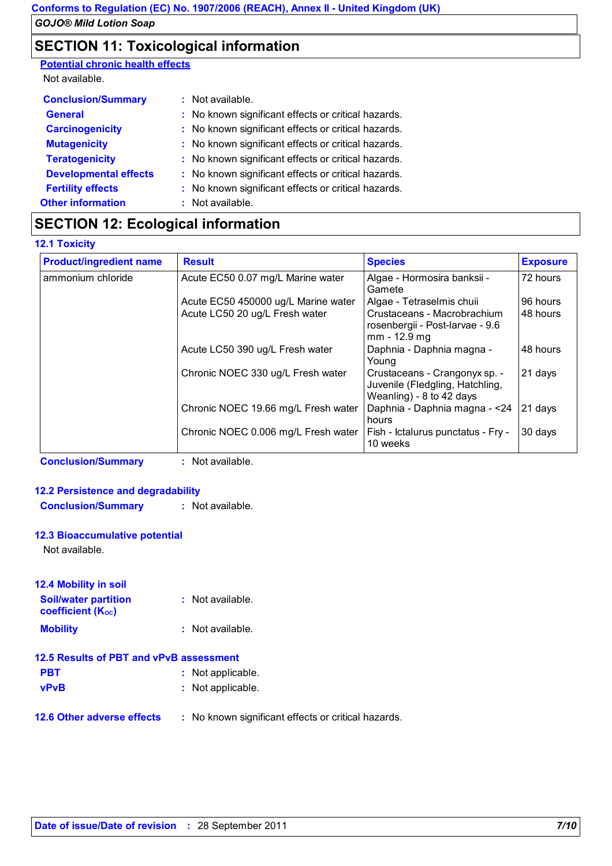### **SECTION 11: Toxicological information**

**Potential chronic health effects**

Not available.

| <b>Conclusion/Summary</b>    | : Not available.                                    |
|------------------------------|-----------------------------------------------------|
| <b>General</b>               | : No known significant effects or critical hazards. |
| <b>Carcinogenicity</b>       | : No known significant effects or critical hazards. |
| <b>Mutagenicity</b>          | : No known significant effects or critical hazards. |
| <b>Teratogenicity</b>        | : No known significant effects or critical hazards. |
| <b>Developmental effects</b> | : No known significant effects or critical hazards. |
| <b>Fertility effects</b>     | : No known significant effects or critical hazards. |
| <b>Other information</b>     | : Not available.                                    |

## **SECTION 12: Ecological information**

### **12.1 Toxicity**

| <b>Product/ingredient name</b> | <b>Result</b>                       | <b>Species</b>                                                                               | <b>Exposure</b> |
|--------------------------------|-------------------------------------|----------------------------------------------------------------------------------------------|-----------------|
| ammonium chloride              | Acute EC50 0.07 mg/L Marine water   | Algae - Hormosira banksii -<br>Gamete                                                        | 72 hours        |
|                                | Acute EC50 450000 ug/L Marine water | Algae - Tetraselmis chuii                                                                    | 96 hours        |
|                                | Acute LC50 20 ug/L Fresh water      | Crustaceans - Macrobrachium<br>rosenbergii - Post-larvae - 9.6<br>$mm - 12.9 mg$             | 48 hours        |
|                                | Acute LC50 390 ug/L Fresh water     | Daphnia - Daphnia magna -<br>Young                                                           | 48 hours        |
|                                | Chronic NOEC 330 ug/L Fresh water   | Crustaceans - Crangonyx sp. -<br>Juvenile (Fledgling, Hatchling,<br>Weanling) - 8 to 42 days | 21 days         |
|                                | Chronic NOEC 19.66 mg/L Fresh water | Daphnia - Daphnia magna - < 24<br>hours                                                      | 21 days         |
|                                | Chronic NOEC 0.006 mg/L Fresh water | Fish - Ictalurus punctatus - Fry -<br>10 weeks                                               | 30 days         |

**Conclusion/Summary :** Not available.

### **12.2 Persistence and degradability**

**Conclusion/Summary :** Not available.

### **12.3 Bioaccumulative potential**

Not available.

| <b>12.4 Mobility in soil</b>                            |                  |
|---------------------------------------------------------|------------------|
| <b>Soil/water partition</b><br><b>coefficient (Koc)</b> | : Not available. |
| <b>Mobility</b>                                         | : Not available. |

| 12.5 Results of PBT and vPvB assessment |                   |  |  |  |
|-----------------------------------------|-------------------|--|--|--|
| <b>PBT</b>                              | : Not applicable. |  |  |  |
| <b>vPvB</b>                             | : Not applicable. |  |  |  |

**12.6 Other adverse effects** : No known significant effects or critical hazards.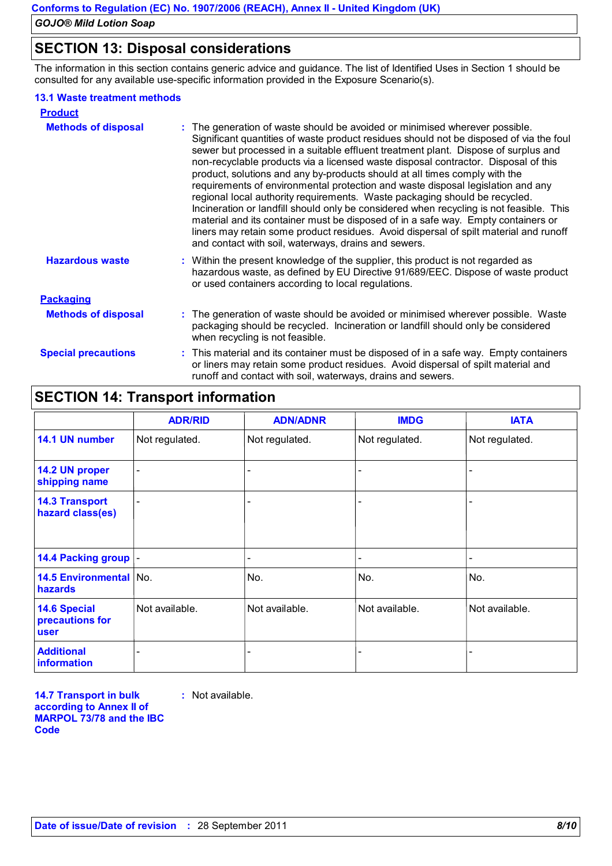### **SECTION 13: Disposal considerations**

The information in this section contains generic advice and guidance. The list of Identified Uses in Section 1 should be consulted for any available use-specific information provided in the Exposure Scenario(s).

#### **13.1 Waste treatment methods**

| <b>Product</b>             |                                                                                                                                                                                                                                                                                                                                                                                                                                                                                                                                                                                                                                                                                                                                                                                                                                                                                                                                    |
|----------------------------|------------------------------------------------------------------------------------------------------------------------------------------------------------------------------------------------------------------------------------------------------------------------------------------------------------------------------------------------------------------------------------------------------------------------------------------------------------------------------------------------------------------------------------------------------------------------------------------------------------------------------------------------------------------------------------------------------------------------------------------------------------------------------------------------------------------------------------------------------------------------------------------------------------------------------------|
| <b>Methods of disposal</b> | : The generation of waste should be avoided or minimised wherever possible.<br>Significant quantities of waste product residues should not be disposed of via the foul<br>sewer but processed in a suitable effluent treatment plant. Dispose of surplus and<br>non-recyclable products via a licensed waste disposal contractor. Disposal of this<br>product, solutions and any by-products should at all times comply with the<br>requirements of environmental protection and waste disposal legislation and any<br>regional local authority requirements. Waste packaging should be recycled.<br>Incineration or landfill should only be considered when recycling is not feasible. This<br>material and its container must be disposed of in a safe way. Empty containers or<br>liners may retain some product residues. Avoid dispersal of spilt material and runoff<br>and contact with soil, waterways, drains and sewers. |
| <b>Hazardous waste</b>     | : Within the present knowledge of the supplier, this product is not regarded as<br>hazardous waste, as defined by EU Directive 91/689/EEC. Dispose of waste product<br>or used containers according to local regulations.                                                                                                                                                                                                                                                                                                                                                                                                                                                                                                                                                                                                                                                                                                          |
| <b>Packaging</b>           |                                                                                                                                                                                                                                                                                                                                                                                                                                                                                                                                                                                                                                                                                                                                                                                                                                                                                                                                    |
| <b>Methods of disposal</b> | : The generation of waste should be avoided or minimised wherever possible. Waste<br>packaging should be recycled. Incineration or landfill should only be considered<br>when recycling is not feasible.                                                                                                                                                                                                                                                                                                                                                                                                                                                                                                                                                                                                                                                                                                                           |
| <b>Special precautions</b> | : This material and its container must be disposed of in a safe way. Empty containers<br>or liners may retain some product residues. Avoid dispersal of spilt material and<br>runoff and contact with soil, waterways, drains and sewers.                                                                                                                                                                                                                                                                                                                                                                                                                                                                                                                                                                                                                                                                                          |

## **SECTION 14: Transport information**

|                                                | <b>ADR/RID</b>           | <b>ADN/ADNR</b> | <b>IMDG</b>    | <b>IATA</b>    |
|------------------------------------------------|--------------------------|-----------------|----------------|----------------|
| 14.1 UN number                                 | Not regulated.           | Not regulated.  | Not regulated. | Not regulated. |
| 14.2 UN proper<br>shipping name                | $\overline{\phantom{a}}$ |                 |                |                |
| <b>14.3 Transport</b><br>hazard class(es)      | $\overline{\phantom{0}}$ |                 |                |                |
| 14.4 Packing group  -                          |                          |                 |                |                |
| <b>14.5 Environmental   No.</b><br>hazards     |                          | No.             | No.            | No.            |
| <b>14.6 Special</b><br>precautions for<br>user | Not available.           | Not available.  | Not available. | Not available. |
| <b>Additional</b><br>information               |                          |                 |                |                |

**14.7 Transport in bulk according to Annex II of MARPOL 73/78 and the IBC Code :** Not available.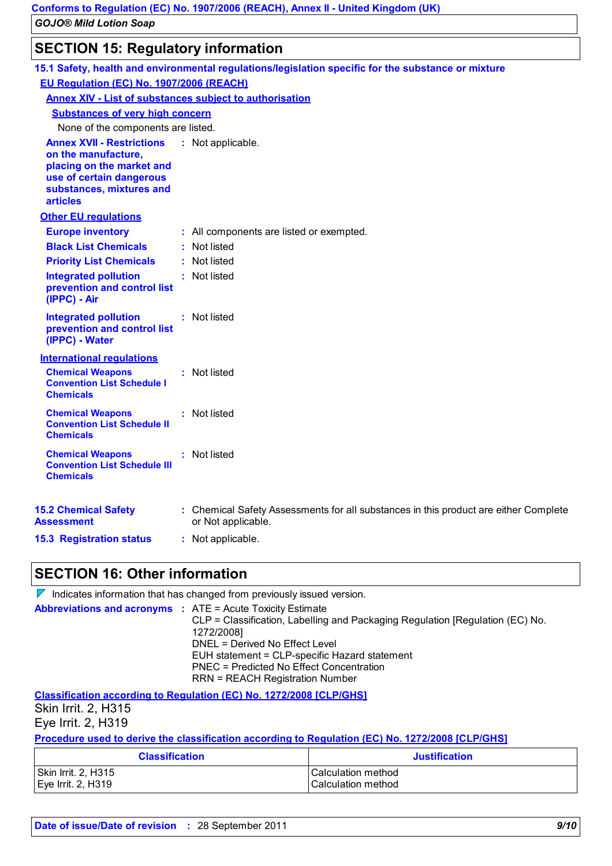### **SECTION 15: Regulatory information**

|                                                                                                                                                                 | 15.1 Safety, health and environmental regulations/legislation specific for the substance or mixture        |
|-----------------------------------------------------------------------------------------------------------------------------------------------------------------|------------------------------------------------------------------------------------------------------------|
| EU Regulation (EC) No. 1907/2006 (REACH)                                                                                                                        |                                                                                                            |
| <b>Annex XIV - List of substances subject to authorisation</b>                                                                                                  |                                                                                                            |
| <b>Substances of very high concern</b>                                                                                                                          |                                                                                                            |
| None of the components are listed.                                                                                                                              |                                                                                                            |
| <b>Annex XVII - Restrictions</b><br>on the manufacture,<br>placing on the market and<br>use of certain dangerous<br>substances, mixtures and<br><b>articles</b> | : Not applicable.                                                                                          |
| <b>Other EU regulations</b>                                                                                                                                     |                                                                                                            |
| <b>Europe inventory</b>                                                                                                                                         | : All components are listed or exempted.                                                                   |
| <b>Black List Chemicals</b>                                                                                                                                     | : Not listed                                                                                               |
| <b>Priority List Chemicals</b>                                                                                                                                  | : Not listed                                                                                               |
| <b>Integrated pollution</b><br>prevention and control list<br>(IPPC) - Air                                                                                      | : Not listed                                                                                               |
| <b>Integrated pollution</b><br>prevention and control list<br>(IPPC) - Water                                                                                    | : Not listed                                                                                               |
| <b>International regulations</b>                                                                                                                                |                                                                                                            |
| <b>Chemical Weapons</b><br><b>Convention List Schedule I</b><br><b>Chemicals</b>                                                                                | : Not listed                                                                                               |
| <b>Chemical Weapons</b><br><b>Convention List Schedule II</b><br><b>Chemicals</b>                                                                               | : Not listed                                                                                               |
| <b>Chemical Weapons</b><br><b>Convention List Schedule III</b><br><b>Chemicals</b>                                                                              | : Not listed                                                                                               |
| <b>15.2 Chemical Safety</b><br>Assessment                                                                                                                       | : Chemical Safety Assessments for all substances in this product are either Complete<br>or Not applicable. |
| <b>15.3 Registration status</b>                                                                                                                                 | : Not applicable.                                                                                          |

### **SECTION 16: Other information**

| $\mathcal V$ Indicates information that has changed from previously issued version.                                                                                                                                                                                                                                                       |
|-------------------------------------------------------------------------------------------------------------------------------------------------------------------------------------------------------------------------------------------------------------------------------------------------------------------------------------------|
| <b>Abbreviations and acronyms : ATE = Acute Toxicity Estimate</b><br>CLP = Classification, Labelling and Packaging Regulation [Regulation (EC) No.<br>1272/2008]<br>DNEL = Derived No Effect Level<br>EUH statement = CLP-specific Hazard statement<br>PNEC = Predicted No Effect Concentration<br><b>RRN = REACH Registration Number</b> |
|                                                                                                                                                                                                                                                                                                                                           |

**Classification according to Regulation (EC) No. 1272/2008 [CLP/GHS]** Skin Irrit. 2, H315 Eye Irrit. 2, H319

**Procedure used to derive the classification according to Regulation (EC) No. 1272/2008 [CLP/GHS]**

| <b>Classification</b> | <b>Justification</b> |
|-----------------------|----------------------|
| Skin Irrit. 2, H315   | l Calculation method |
| Eye Irrit. 2, H319    | l Calculation method |